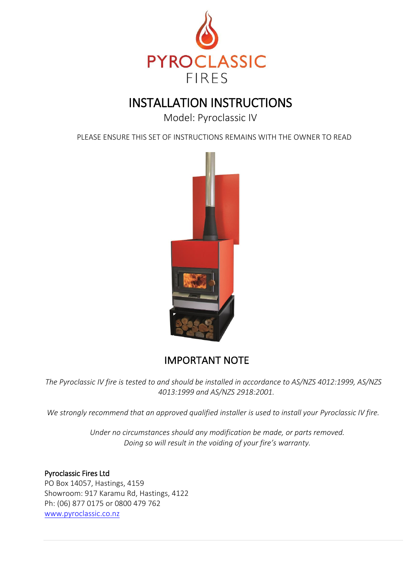

# INSTALLATION INSTRUCTIONS

Model: Pyroclassic IV

PLEASE ENSURE THIS SET OF INSTRUCTIONS REMAINS WITH THE OWNER TO READ



# IMPORTANT NOTE

*The Pyroclassic IV fire is tested to and should be installed in accordance to AS/NZS 4012:1999, AS/NZS 4013:1999 and AS/NZS 2918:2001.* 

*We strongly recommend that an approved qualified installer is used to install your Pyroclassic IV fire.* 

*Under no circumstances should any modification be made, or parts removed. Doing so will result in the voiding of your fire's warranty.* 

# Pyroclassic Fires Ltd

PO Box 14057, Hastings, 4159 Showroom: 917 Karamu Rd, Hastings, 4122 Ph: (06) 877 0175 or 0800 479 762 [www.pyroclassic.co.nz](http://www.pyroclassic.co.nz/)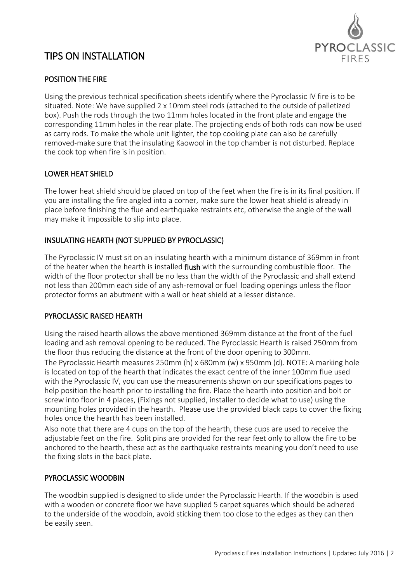

# TIPS ON INSTALLATION

# POSITION THE FIRE

Using the previous technical specification sheets identify where the Pyroclassic IV fire is to be situated. Note: We have supplied 2 x 10mm steel rods (attached to the outside of palletized box). Push the rods through the two 11mm holes located in the front plate and engage the corresponding 11mm holes in the rear plate. The projecting ends of both rods can now be used as carry rods. To make the whole unit lighter, the top cooking plate can also be carefully removed-make sure that the insulating Kaowool in the top chamber is not disturbed. Replace the cook top when fire is in position.

# LOWER HEAT SHIELD

The lower heat shield should be placed on top of the feet when the fire is in its final position. If you are installing the fire angled into a corner, make sure the lower heat shield is already in place before finishing the flue and earthquake restraints etc, otherwise the angle of the wall may make it impossible to slip into place.

# INSULATING HEARTH (NOT SUPPLIED BY PYROCLASSIC)

The Pyroclassic IV must sit on an insulating hearth with a minimum distance of 369mm in front of the heater when the hearth is installed flush with the surrounding combustible floor. The width of the floor protector shall be no less than the width of the Pyroclassic and shall extend not less than 200mm each side of any ash-removal or fuel loading openings unless the floor protector forms an abutment with a wall or heat shield at a lesser distance.

# PYROCLASSIC RAISED HEARTH

Using the raised hearth allows the above mentioned 369mm distance at the front of the fuel loading and ash removal opening to be reduced. The Pyroclassic Hearth is raised 250mm from the floor thus reducing the distance at the front of the door opening to 300mm.

The Pyroclassic Hearth measures 250mm (h) x 680mm (w) x 950mm (d). NOTE: A marking hole is located on top of the hearth that indicates the exact centre of the inner 100mm flue used with the Pyroclassic IV, you can use the measurements shown on our specifications pages to help position the hearth prior to installing the fire. Place the hearth into position and bolt or screw into floor in 4 places, (Fixings not supplied, installer to decide what to use) using the mounting holes provided in the hearth. Please use the provided black caps to cover the fixing holes once the hearth has been installed.

Also note that there are 4 cups on the top of the hearth, these cups are used to receive the adjustable feet on the fire. Split pins are provided for the rear feet only to allow the fire to be anchored to the hearth, these act as the earthquake restraints meaning you don't need to use the fixing slots in the back plate.

# PYROCLASSIC WOODBIN

The woodbin supplied is designed to slide under the Pyroclassic Hearth. If the woodbin is used with a wooden or concrete floor we have supplied 5 carpet squares which should be adhered to the underside of the woodbin, avoid sticking them too close to the edges as they can then be easily seen.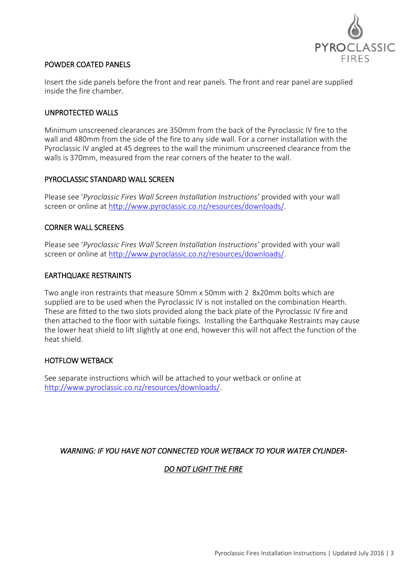

#### POWDER COATED PANELS

Insert the side panels before the front and rear panels. The front and rear panel are supplied inside the fire chamber.

#### UNPROTECTED WALLS

Minimum unscreened clearances are 350mm from the back of the Pyroclassic IV fire to the wall and 480mm from the side of the fire to any side wall. For a corner installation with the Pyroclassic IV angled at 45 degrees to the wall the minimum unscreened clearance from the walls is 370mm, measured from the rear corners of the heater to the wall.

#### PYROCLASSIC STANDARD WALL SCREEN

Please see '*Pyroclassic Fires Wall Screen Installation Instructions'* provided with your wall screen or online at [http://www.pyroclassic.co.nz/resources/downloads/.](http://www.pyroclassic.co.nz/resources/downloads/)

#### CORNER WALL SCREENS

Please see '*Pyroclassic Fires Wall Screen Installation Instructions'* provided with your wall screen or online at [http://www.pyroclassic.co.nz/resources/downloads/.](http://www.pyroclassic.co.nz/resources/downloads/)

#### EARTHQUAKE RESTRAINTS

Two angle iron restraints that measure 50mm x 50mm with 2 8x20mm bolts which are supplied are to be used when the Pyroclassic IV is not installed on the combination Hearth. These are fitted to the two slots provided along the back plate of the Pyroclassic IV fire and then attached to the floor with suitable fixings. Installing the Earthquake Restraints may cause the lower heat shield to lift slightly at one end, however this will not affect the function of the heat shield.

# HOTFLOW WETBACK

See separate instructions which will be attached to your wetback or online at [http://www.pyroclassic.co.nz/resources/downloads/.](http://www.pyroclassic.co.nz/resources/downloads/)

# *WARNING: IF YOU HAVE NOT CONNECTED YOUR WETBACK TO YOUR WATER CYLINDER-*

# *DO NOT LIGHT THE FIRE*